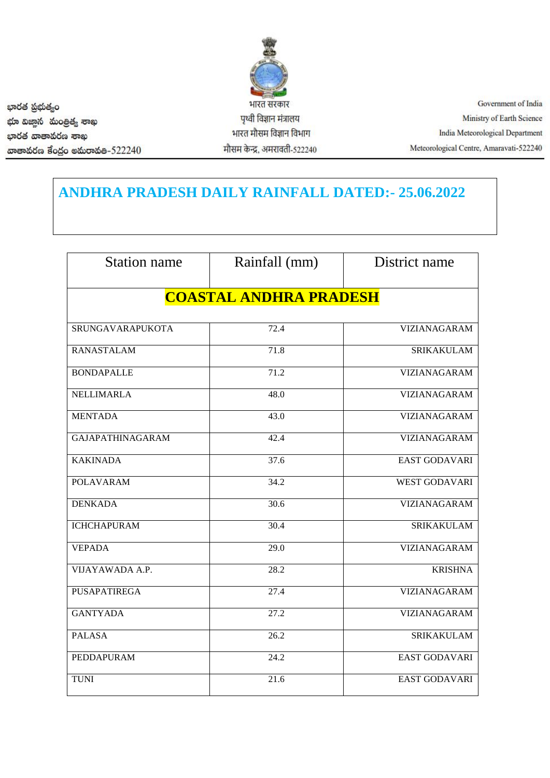

Government of India Ministry of Earth Science India Meteorological Department Meteorological Centre, Amaravati-522240

**ANDHRA PRADESH DAILY RAINFALL DATED:- 25.06.2022**

| <b>Station name</b>           | Rainfall (mm) | District name        |  |
|-------------------------------|---------------|----------------------|--|
| <b>COASTAL ANDHRA PRADESH</b> |               |                      |  |
| SRUNGAVARAPUKOTA              | 72.4          | VIZIANAGARAM         |  |
| <b>RANASTALAM</b>             | 71.8          | <b>SRIKAKULAM</b>    |  |
| <b>BONDAPALLE</b>             | 71.2          | <b>VIZIANAGARAM</b>  |  |
| NELLIMARLA                    | 48.0          | VIZIANAGARAM         |  |
| <b>MENTADA</b>                | 43.0          | <b>VIZIANAGARAM</b>  |  |
| <b>GAJAPATHINAGARAM</b>       | 42.4          | VIZIANAGARAM         |  |
| <b>KAKINADA</b>               | 37.6          | EAST GODAVARI        |  |
| <b>POLAVARAM</b>              | 34.2          | <b>WEST GODAVARI</b> |  |
| <b>DENKADA</b>                | 30.6          | VIZIANAGARAM         |  |
| <b>ICHCHAPURAM</b>            | 30.4          | <b>SRIKAKULAM</b>    |  |
| <b>VEPADA</b>                 | 29.0          | VIZIANAGARAM         |  |
| VIJAYAWADA A.P.               | 28.2          | <b>KRISHNA</b>       |  |
| PUSAPATIREGA                  | 27.4          | <b>VIZIANAGARAM</b>  |  |
| <b>GANTYADA</b>               | 27.2          | VIZIANAGARAM         |  |
| <b>PALASA</b>                 | 26.2          | <b>SRIKAKULAM</b>    |  |
| <b>PEDDAPURAM</b>             | 24.2          | <b>EAST GODAVARI</b> |  |
| <b>TUNI</b>                   | 21.6          | <b>EAST GODAVARI</b> |  |

భారత ప్రభుత్వం *ಭ*ಾ ವಿಜ್ಞಾನ ಮಂತ್ರಿತ್ಯ ಕಾಖ ಭಾරత ವಾತಾතරක ಕಾಖ ගාෂාකර්දි ප්රජු ෙමකා තකිෂ-522240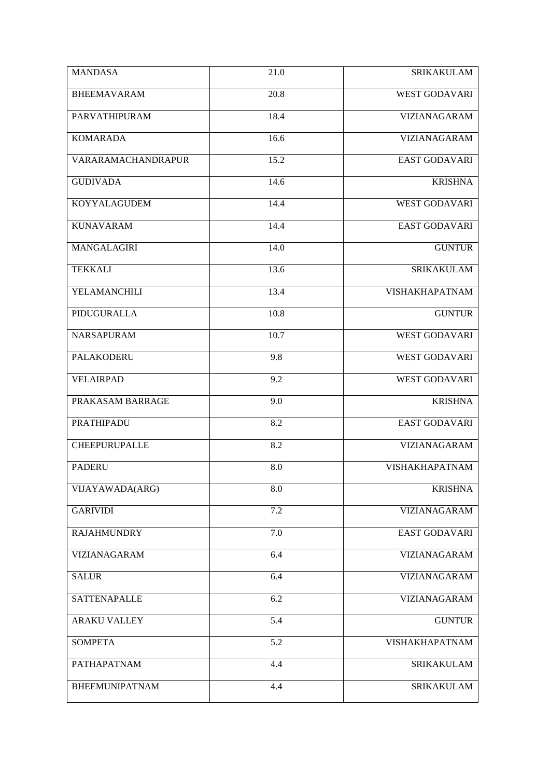| <b>MANDASA</b>        | 21.0 | <b>SRIKAKULAM</b>     |
|-----------------------|------|-----------------------|
| <b>BHEEMAVARAM</b>    | 20.8 | <b>WEST GODAVARI</b>  |
| PARVATHIPURAM         | 18.4 | <b>VIZIANAGARAM</b>   |
| <b>KOMARADA</b>       | 16.6 | VIZIANAGARAM          |
| VARARAMACHANDRAPUR    | 15.2 | <b>EAST GODAVARI</b>  |
| <b>GUDIVADA</b>       | 14.6 | <b>KRISHNA</b>        |
| <b>KOYYALAGUDEM</b>   | 14.4 | <b>WEST GODAVARI</b>  |
| <b>KUNAVARAM</b>      | 14.4 | <b>EAST GODAVARI</b>  |
| MANGALAGIRI           | 14.0 | <b>GUNTUR</b>         |
| <b>TEKKALI</b>        | 13.6 | <b>SRIKAKULAM</b>     |
| YELAMANCHILI          | 13.4 | VISHAKHAPATNAM        |
| PIDUGURALLA           | 10.8 | <b>GUNTUR</b>         |
| <b>NARSAPURAM</b>     | 10.7 | <b>WEST GODAVARI</b>  |
| <b>PALAKODERU</b>     | 9.8  | <b>WEST GODAVARI</b>  |
| <b>VELAIRPAD</b>      | 9.2  | <b>WEST GODAVARI</b>  |
| PRAKASAM BARRAGE      | 9.0  | <b>KRISHNA</b>        |
| <b>PRATHIPADU</b>     | 8.2  | <b>EAST GODAVARI</b>  |
| <b>CHEEPURUPALLE</b>  | 8.2  | <b>VIZIANAGARAM</b>   |
| <b>PADERU</b>         | 8.0  | <b>VISHAKHAPATNAM</b> |
| VIJAYAWADA(ARG)       | 8.0  | <b>KRISHNA</b>        |
| <b>GARIVIDI</b>       | 7.2  | <b>VIZIANAGARAM</b>   |
| <b>RAJAHMUNDRY</b>    | 7.0  | EAST GODAVARI         |
| VIZIANAGARAM          | 6.4  | VIZIANAGARAM          |
| <b>SALUR</b>          | 6.4  | VIZIANAGARAM          |
| <b>SATTENAPALLE</b>   | 6.2  | VIZIANAGARAM          |
| <b>ARAKU VALLEY</b>   | 5.4  | <b>GUNTUR</b>         |
| <b>SOMPETA</b>        | 5.2  | VISHAKHAPATNAM        |
| PATHAPATNAM           | 4.4  | <b>SRIKAKULAM</b>     |
| <b>BHEEMUNIPATNAM</b> | 4.4  | <b>SRIKAKULAM</b>     |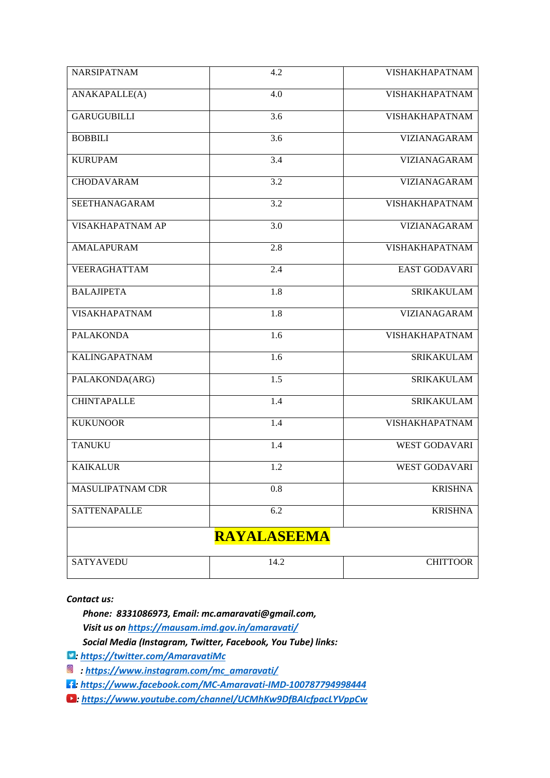| <b>NARSIPATNAM</b>   | 4.2              | VISHAKHAPATNAM        |  |
|----------------------|------------------|-----------------------|--|
| ANAKAPALLE(A)        | 4.0              | VISHAKHAPATNAM        |  |
| <b>GARUGUBILLI</b>   | 3.6              | <b>VISHAKHAPATNAM</b> |  |
| <b>BOBBILI</b>       | 3.6              | <b>VIZIANAGARAM</b>   |  |
| <b>KURUPAM</b>       | 3.4              | VIZIANAGARAM          |  |
| <b>CHODAVARAM</b>    | 3.2              | VIZIANAGARAM          |  |
| SEETHANAGARAM        | 3.2              | VISHAKHAPATNAM        |  |
| VISAKHAPATNAM AP     | 3.0              | VIZIANAGARAM          |  |
| <b>AMALAPURAM</b>    | 2.8              | VISHAKHAPATNAM        |  |
| <b>VEERAGHATTAM</b>  | 2.4              | <b>EAST GODAVARI</b>  |  |
| <b>BALAJIPETA</b>    | 1.8              | <b>SRIKAKULAM</b>     |  |
| <b>VISAKHAPATNAM</b> | 1.8              | VIZIANAGARAM          |  |
| <b>PALAKONDA</b>     | 1.6              | <b>VISHAKHAPATNAM</b> |  |
| <b>KALINGAPATNAM</b> | 1.6              | <b>SRIKAKULAM</b>     |  |
| PALAKONDA(ARG)       | $\overline{1.5}$ | <b>SRIKAKULAM</b>     |  |
| <b>CHINTAPALLE</b>   | 1.4              | <b>SRIKAKULAM</b>     |  |
| <b>KUKUNOOR</b>      | 1.4              | VISHAKHAPATNAM        |  |
| <b>TANUKU</b>        | 1.4              | <b>WEST GODAVARI</b>  |  |
| <b>KAIKALUR</b>      | 1.2              | <b>WEST GODAVARI</b>  |  |
| MASULIPATNAM CDR     | 0.8              | <b>KRISHNA</b>        |  |
| <b>SATTENAPALLE</b>  | 6.2              | <b>KRISHNA</b>        |  |
| <b>RAYALASEEMA</b>   |                  |                       |  |
| <b>SATYAVEDU</b>     | 14.2             | <b>CHITTOOR</b>       |  |

*Contact us:*

 *Phone: 8331086973, Email: mc.amaravati@gmail.com, Visit us o[n https://mausam.imd.gov.in/amaravati/](https://mausam.imd.gov.in/amaravati/) Social Media (Instagram, Twitter, Facebook, You Tube) links:*

*:<https://twitter.com/AmaravatiMc>*

*[: https://www.instagram.com/mc\\_amaravati/](https://www.instagram.com/mc_amaravati/)*

*: [https://www.facebook.com/MC-Amaravati-IMD-100787794998444](https://www.facebook.com/MC-Amaravati-IMD-100787794998444%09)*

*:<https://www.youtube.com/channel/UCMhKw9DfBAIcfpacLYVppCw>*